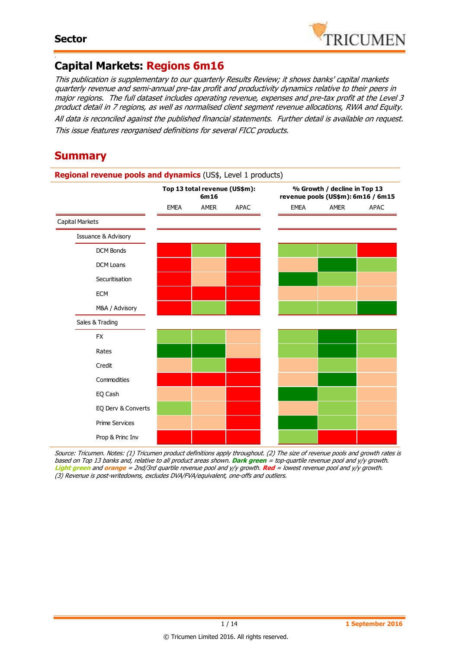

#### - **Capital Markets: Regions 6m16**

This publication is supplementary to our quarterly Results Review; it shows banks' capital markets quarterly revenue and semi-annual pre-tax profit and productivity dynamics relative to their peers in major regions. The full dataset includes operating revenue, expenses and pre-tax profit at the Level 3 product detail in 7 regions, as well as normalised client segment revenue allocations, RWA and Equity. All data is reconciled against the published financial statements. Further detail is available on request. This issue features reorganised definitions for several FICC products.

## **Summary**



Source: Tricumen. Notes: (1) Tricumen product definitions apply throughout. (2) The size of revenue pools and growth rates is based on Top 13 banks and, relative to all product areas shown. **Dark green** = top-quartile revenue pool and y/y growth. **Light green** and **orange** = 2nd/3rd quartile revenue pool and y/y growth. **Red** = lowest revenue pool and y/y growth. (3) Revenue is post-writedowns, excludes DVA/FVA/equivalent, one-offs and outliers.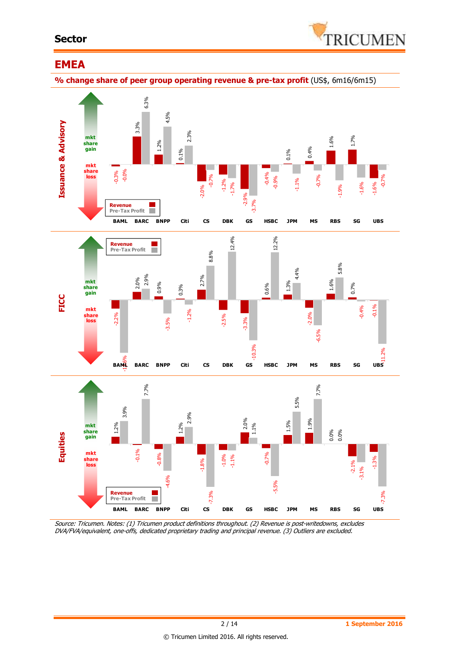#### **Sector**



### **EMEA**

**% change share of peer group operating revenue & pre-tax profit** (US\$, 6m16/6m15)



Source: Tricumen. Notes: (1) Tricumen product definitions throughout. (2) Revenue is post-writedowns, excludes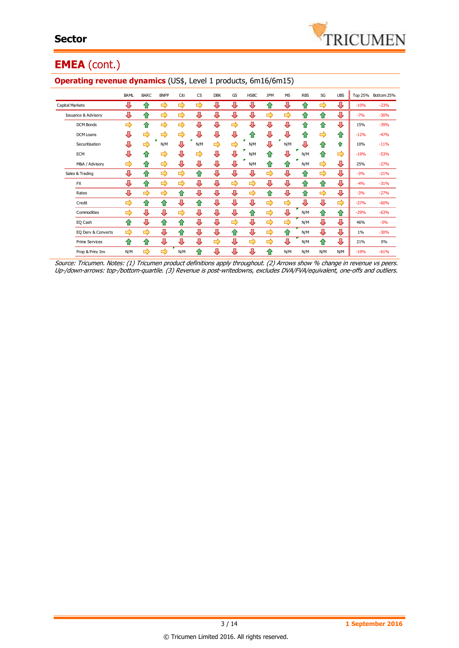# **EMEA** (cont.)

|                                | <b>BAML</b> | <b>BARC</b>   | <b>BNPP</b>   | Citi | <b>CS</b> | <b>DBK</b> | GS | <b>HSBC</b> | <b>JPM</b>    | <b>MS</b>      | <b>RBS</b> | SG  | <b>UBS</b> |        | Top 25% Bottom 25% |
|--------------------------------|-------------|---------------|---------------|------|-----------|------------|----|-------------|---------------|----------------|------------|-----|------------|--------|--------------------|
| Capital Markets                | ⊕           | ⇑             | ⇨             | ⇨    | ⇨         | Л          | л  | ⇩           | 企             | $\overline{v}$ | ⇑          | ⇨   | ⊕          | $-10%$ | $-23%$             |
| <b>Issuance &amp; Advisory</b> | ⊕           | ⇑             | ⇨             | ⇨    | ⊕         | ⇩          | ⊕  | ⇩           | ⇨             | $\Rightarrow$  | ⇧          | ⇧   | ⊕          | $-7%$  | $-30%$             |
| DCM Bonds                      | ⇨           | ⇑             | $\Rightarrow$ | ⇨    | ⇩         | ⇩          | ⇨  | ⇩           | ⇩             | ⊕              | ⇧          | ⇧   | ⊕          | 15%    | $-39%$             |
| <b>DCM Loans</b>               | ⊕           | ⇨             | ⇨             | ⇨    | ⇩         | л          | ⊕  | ⇑           | ⇩             | ⇩              | ⇑          | ⇨   | ✿          | $-12%$ | $-47%$             |
| Securitisation                 | ⊕           | ⇨             | N/M           | л    | N/M       | ⇨          | ⇨  | N/M         | ⇩             | N/M            | J          | ⇧   | ⇑          | 10%    | $-11%$             |
| ECM                            | ⊕           | ⇑             | ⇨             | ⊕    | ⇨         | Д          | ⊕  | N/M         | ⇧             | ⇩              | N/M        | ⇧   | ⇨          | $-19%$ | $-53%$             |
| M&A / Advisory                 | ⇨           | ⇑             | ⇨             | ⊕    | ⊕         | ⊕          | ⇩  | N/M         | ⇧             | ⇑              | N/M        | ⇨   | ⊕          | 25%    | $-27%$             |
| Sales & Trading                | ⇩           | 合             | ⇨             | ⇨    | ⇧         | ⊕          | ⇩  | ⊕           | ⇨             | ⊕              | ⇧          | ⇨   | ⊕          | $-3%$  | $-21%$             |
| <b>FX</b>                      | ⇩           | ⇑             | ⇨             | ⇨    | ⇩         | ⇩          | ⇨  | ⇨           | ⇩             | ⊕              | ⇧          | ⇧   | ⊕          | $-4%$  | $-31%$             |
| Rates                          | ⊕           | ⇨             | ⇨             | ⇑    | ⇩         | ⊕          | ⊕  | ⇨           | ⇑             | ⊕              | ⇑          | ⇨   | ⊕          | $-3%$  | $-27%$             |
| Credit                         | ⇨           | ⇑             | ⇑             | ⊕    | ⇧         | ⇩          | ⇩  | ⇩           | ⇨             | ⇨              | ⇩          | ⇩   | ⇨          | $-27%$ | $-60%$             |
| Commodities                    | ⇨           | ⊕             | ⊕             | ⇨    | ⇩         | ⇩          | ⊕  | ⇑           | ⇨             | ⊕              | N/M        | ⇑   | ⇧          | $-29%$ | $-63%$             |
| EQ Cash                        | ⇑           | ⊕             | ⇑             | ⇑    | ⇩         | J          | ⇨  | ⇩           | $\Rightarrow$ | ⇨              | N/M        | ⇩   | ⊕          | 46%    | $-5%$              |
| EQ Derv & Converts             | ⇨           | $\Rightarrow$ | ⊕             | ⇑    | ⊕         | ⊕          | ⇑  | ⊕           | $\Rightarrow$ | ⇑              | N/M        | ⊕   | ⊕          | $1\%$  | $-30%$             |
| <b>Prime Services</b>          | ⇑           | ⇑             | ⊕             | ⊕    | ⊕         | ⇨          | ⊕  | ⇨           | $\Rightarrow$ | ⇩              | N/M        | 仐   | ⊕          | 21%    | 0%                 |
| Prop & Princ Inv               | N/M         | ⇨             | ⇨             | N/M  | ⇑         | ⇩          | ⇩  | ⇩           | ⇑             | N/M            | N/M        | N/M | N/M        | $-19%$ | $-61%$             |

#### **Operating revenue dynamics** (US\$, Level 1 products, 6m16/6m15)

Source: Tricumen. Notes: (1) Tricumen product definitions apply throughout. (2) Arrows show % change in revenue vs peers. Up-/down-arrows: top-/bottom-quartile. (3) Revenue is post-writedowns, excludes DVA/FVA/equivalent, one-offs and outliers.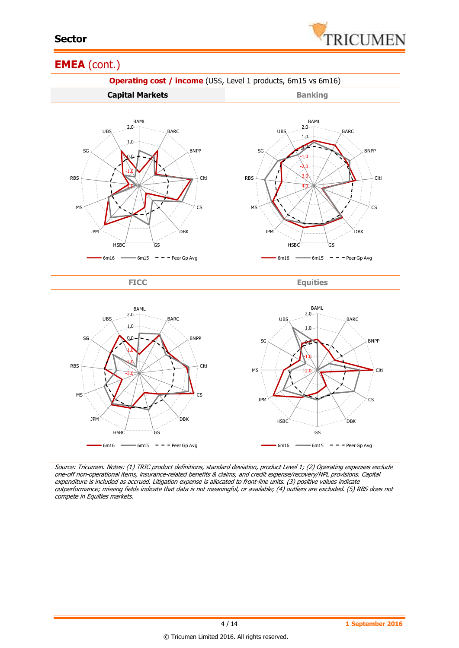

## **EMEA** (cont.)



Source: Tricumen. Notes: (1) TRIC product definitions, standard deviation, product Level 1; (2) Operating expenses exclude one-off non-operational items, insurance-related benefits & claims, and credit expense/recovery/NPL provisions. Capital expenditure is included as accrued. Litigation expense is allocated to front-line units. (3) positive values indicate outperformance; missing fields indicate that data is not meaningful, or available; (4) outliers are excluded. (5) RBS does not compete in Equities markets.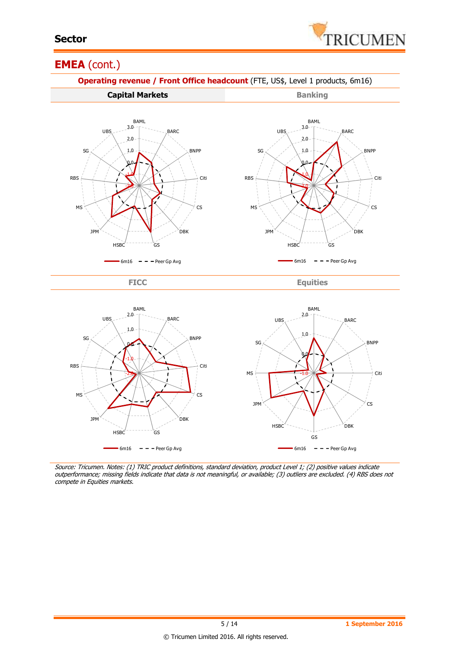

### **EMEA** (cont.)



Source: Tricumen. Notes: (1) TRIC product definitions, standard deviation, product Level 1; (2) positive values indicate outperformance; missing fields indicate that data is not meaningful, or available; (3) outliers are excluded. (4) RBS does not compete in Equities markets.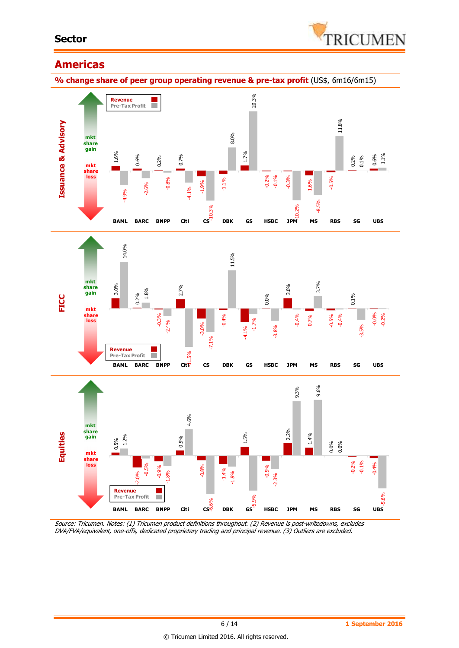#### **Sector**



### **Americas**

**% change share of peer group operating revenue & pre-tax profit** (US\$, 6m16/6m15)





Source: Tricumen. Notes: (1) Tricumen product definitions throughout. (2) Revenue is post-writedowns, excludes

 $cs<sub>5</sub>$ 

BAML BARC BNPP Citi CSP DBK GS HSBC JPM MS RBS SG UBS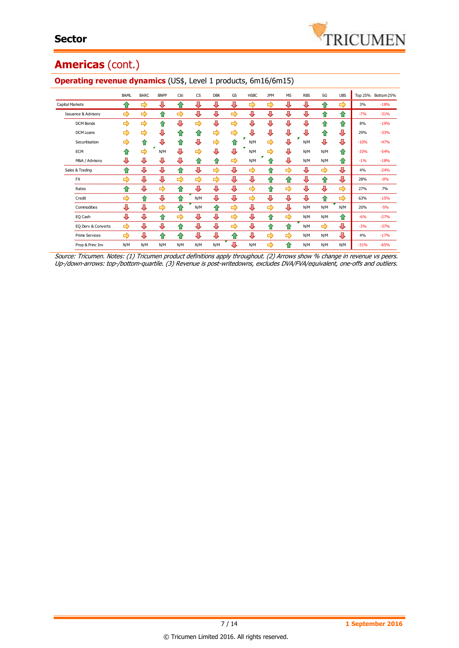# **Americas** (cont.)

|                                | <b>BAML</b> | <b>BARC</b>   | <b>BNPP</b> | Citi | <b>CS</b>     | <b>DBK</b> | GS            | <b>HSBC</b> | <b>JPM</b> | <b>MS</b> | <b>RBS</b> | SG  | <b>UBS</b> | <b>Top 25%</b> | Bottom 25% |
|--------------------------------|-------------|---------------|-------------|------|---------------|------------|---------------|-------------|------------|-----------|------------|-----|------------|----------------|------------|
| Capital Markets                | ⇑           | ⇨             | ⊕           | 企    | ⊕             | ⊕          | ⊕             | ⇨           | ⇨          | ⊕         | ⊕          | ⇑   | ⇨          | 3%             | $-18%$     |
| <b>Issuance &amp; Advisory</b> | ⇨           | ⇨             | 合           | ⇨    | ⊕             | ⊕          | ⇨             | ⊕           | ⊕          | ⊕         | ⊕          | ⇑   | 仐          | $-7%$          | $-31%$     |
| <b>DCM Bonds</b>               | ⇨           | $\Rightarrow$ | 仐           | Д    | ⇨             | ⊕          | ⇨             | ⊕           | ⊕          | ⊕         | ⊕          | ⇑   | ⇧          | 8%             | $-19%$     |
| <b>DCM Loans</b>               | ⇨           | ⇨             | ⊕           | ⇑    | ⇑             | ⇨          | ⇨             | ⊕           | л          | ⊕         | ⇩          | ⇑   | ⊕          | 29%            | $-33%$     |
| Securitisation                 | ⇨           | ⇑             | ⊕           | ⇑    | ⇩             | ⇨          | ങ             | N/M         | ⇨          | ⇩         | N/M        | ⊕   | ⊕          | $-10%$         | $-47%$     |
| <b>ECM</b>                     | ⇑           | ⇨             | N/M         | Д    | ⇛             | ⇩          | ⇩             | N/M         | ⇨          | Д         | N/M        | N/M | ⇑          | $-33%$         | $-54%$     |
| M&A / Advisory                 | ⊕           | ⊕             | ⊕           | ⊕    | ⇑             | ങ          | ⇨             | N/M         | 40         | л         | N/M        | N/M | ✿          | $-1%$          | $-18%$     |
| Sales & Trading                | ⇑           | ⇩             | ⊕           | ⇑    | ⇩             | ⇨          | J             | ⇨           | 企          | ⇨         | ⊕          | ⇨   | ⊕          | 4%             | $-24%$     |
| <b>FX</b>                      | ⇨           | ⊕             | ⊕           | ⇨    | $\Rightarrow$ | ⇨          | ⊕             | ⊕           | ⇑          | ⇑         | ⊕          | ⇑   | ⊕          | 28%            | $-0%$      |
| Rates                          | ♠           | ⇩             | ⇨           | ⇑    | ⊕             | ⊕          | ⊕             | ⇨           | ⇑          | ⇨         | ⊕          | ⊕   | ⇨          | 27%            | 7%         |
| Credit                         | ⇨           | ♠             | ⊕           | ⇑    | N/M           | ⊕          | ⊕             | ⇨           | ⊕          | ⊕         | ⊕          | ⇑   | ⇨          | 63%            | $-15%$     |
| Commodities                    | ⊕           | Д             | ⇨           | ♠    | N/M           | ⇑          | $\Rightarrow$ | ⊕           | ⇨          | ⇩         | N/M        | N/M | N/M        | 20%            | $-5%$      |
| EQ Cash                        | ⇩           | ⇩             | ⇑           | ⇨    | ⊕             | ⇩          | ⇨             | ⊕           | ⇑          | ⇨         | N/M        | N/M | ⇑          | $-6%$          | $-27%$     |
| EQ Derv & Converts             | ⇨           | ⊕             | ⊕           | ⇑    | ⊕             | ⊕          | ⇨             | ⊕           | ⇑          | ⇑         | N/M        | ⇨   | ⊕          | $-3%$          | $-37%$     |
| <b>Prime Services</b>          | ⇨           | ⊕             | ⇑           | ⇑    | ⊕             | ⊕          | ≏             | ⊕           | ⇨          | ⇛         | N/M        | N/M | ⊕          | 4%             | $-17%$     |
| Prop & Princ Inv               | N/M         | N/M           | N/M         | N/M  | N/M           | N/M        | ⊕             | N/M         | ⇨          | ♠         | N/M        | N/M | N/M        | $-31%$         | $-65%$     |

#### **Operating revenue dynamics** (US\$, Level 1 products, 6m16/6m15)

Source: Tricumen. Notes: (1) Tricumen product definitions apply throughout. (2) Arrows show % change in revenue vs peers. Up-/down-arrows: top-/bottom-quartile. (3) Revenue is post-writedowns, excludes DVA/FVA/equivalent, one-offs and outliers.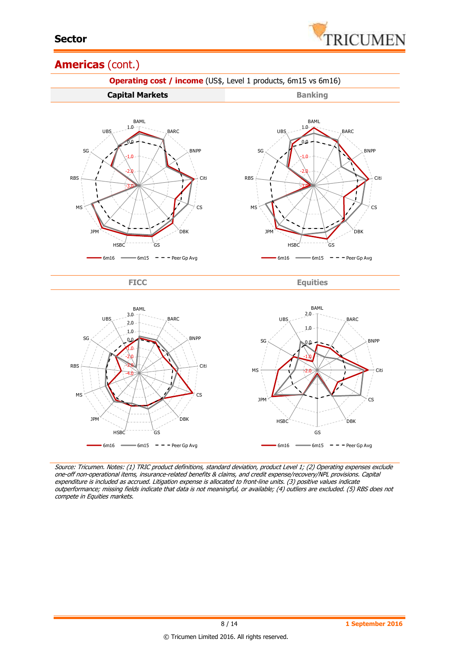

### **Americas** (cont.)



Source: Tricumen. Notes: (1) TRIC product definitions, standard deviation, product Level 1; (2) Operating expenses exclude one-off non-operational items, insurance-related benefits & claims, and credit expense/recovery/NPL provisions. Capital expenditure is included as accrued. Litigation expense is allocated to front-line units. (3) positive values indicate outperformance; missing fields indicate that data is not meaningful, or available; (4) outliers are excluded. (5) RBS does not compete in Equities markets.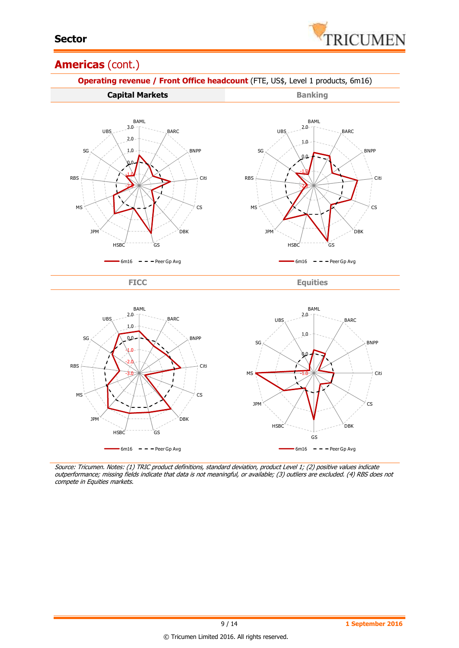

### **Americas** (cont.)



Source: Tricumen. Notes: (1) TRIC product definitions, standard deviation, product Level 1; (2) positive values indicate outperformance; missing fields indicate that data is not meaningful, or available; (3) outliers are excluded. (4) RBS does not compete in Equities markets.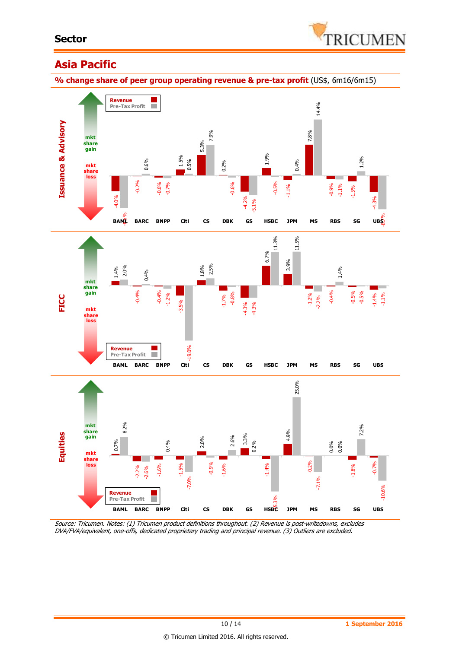

## **Asia Pacific**

**% change share of peer group operating revenue & pre-tax profit** (US\$, 6m16/6m15)



Source: Tricumen. Notes: (1) Tricumen product definitions throughout. (2) Revenue is post-writedowns, excludes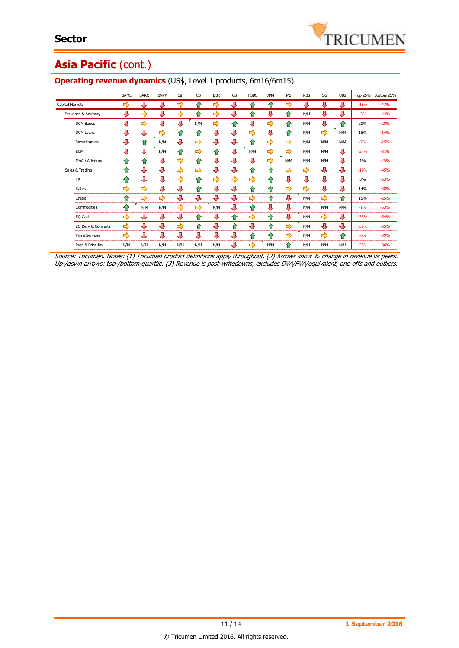# Asia Pacific (cont.)

|                                | <b>BAML</b> | <b>BARC</b>   | <b>BNPP</b> | Citi          | <b>CS</b> | <b>DBK</b> | GS | <b>HSBC</b> | <b>JPM</b> | <b>MS</b> | <b>RBS</b> | SG  | <b>UBS</b> |        | Top 25% Bottom 25% |
|--------------------------------|-------------|---------------|-------------|---------------|-----------|------------|----|-------------|------------|-----------|------------|-----|------------|--------|--------------------|
| <b>Capital Markets</b>         | ⇨           | ⊕             | ⊕           | ⇛             | ⇑         | ⇨          | ⊕  | 仆           | ⇑          | ⇨         | ⊕          | ⊕   | ⊕          | $-18%$ | $-47%$             |
| <b>Issuance &amp; Advisory</b> | ⊕           | $\Rightarrow$ | ⊕           | ⇨             | 合         | ⇨          | ⊕  | ⇑           | ⊕          | ⇑         | N/M        | ⊕   | ⊕          | $-3%$  | $-44%$             |
| <b>DCM Bonds</b>               | ⊕           | $\Rightarrow$ | ⊕           | ⊕             | N/M       | ⇨          | ⇑  | ⊕           | ⇨          | 企         | N/M        | ⊕   | $\bullet$  | 20%    | $-28%$             |
| DCM Loans                      | л           | ⇩             | ⇨           | ⇑             | ⇑         | л          | 具  | ⇨           | ⊕          | ⇑         | N/M        | ⇨   | N/M        | 18%    | $-14%$             |
| Securitisation                 | Д           | ⇑             | N/M         | ⇩             | ⇨         | л          | ⊕  | 企           | ⇨          | ⇨         | N/M        | N/M | N/M        | $-7%$  | $-25%$             |
| <b>ECM</b>                     | Д           | Д             | N/M         | ♠             | ⇨         | ⇑          | л  | N/M         | ⇨          | ⇨         | N/M        | N/M | ⊕          | $-24%$ | $-81%$             |
| M&A / Advisory                 | ⇑           | ⇑             | ⊕           | ⇨             | ⇑         | л          | ⊕  | ⊕           | ⇨          | N/M       | N/M        | N/M | ⊕          | 1%     | $-25%$             |
| Sales & Trading                | ⇑           | ⇩             | ⊕           | ⇨             | ⇨         | J          | ⊕  | 企           | 企          | ⇨         | ⇨          | ⊕   | ⊕          | $-19%$ | $-45%$             |
| <b>FX</b>                      | ≏           | л             | ⇩           | $\Rightarrow$ | ⇑         | ⇨          | ⇨  | ⇨           | ⇑          | ⊕         | ⊕          | ⊕   | ⊕          | 3%     | $-63%$             |
| Rates                          | ⇨           | ⇨             | ⊕           | ⊕             | ⇑         | ⊕          | ⊕  | ⇑           | ⇑          | ⇨         | ⇨          | ⊕   | ⊕          | 14%    | $-38%$             |
| Credit                         | ♠           | ⇨             | ⇨           | ⊕             | ⊕         | ⊕          | ⊕  | ⇨           | ⇑          | ⊕         | N/M        | ⇨   | ⇑          | 15%    | $-25%$             |
| Commodities                    | ≏           | N/M           | N/M         | $\Rightarrow$ | ⇨         | N/M        | ⊕  | ⇑           | Д          | Д         | N/M        | N/M | N/M        | $-1%$  | $-53%$             |
| EQ Cash                        | ⇨           | ⇩             | ⊕           | ⊕             | ⇑         | ⊕          | ♠  | ⇨           | ⇑          | ⇩         | N/M        | ⇨   | ⊕          | $-35%$ | $-54%$             |
| EQ Derv & Converts             | ⇨           | ⊕             | ⊕           | ⇨             | 企         | ⊕          | ⇑  | ⊕           | ⇑          | ⇨         | N/M        | ⊕   | ⊕          | $-39%$ | $-65%$             |
| <b>Prime Services</b>          | ⇨           | л             | ⊕           | ⊕             | ⊕         | ⊕          | ⊕  | 企           | ⇑          | ⇨         | N/M        | ⇨   | 企          | $-6%$  | $-39%$             |
| Prop & Princ Inv               | N/M         | N/M           | N/M         | N/M           | N/M       | N/M        | ⊕  | ⇨           | N/M        | ⇑         | N/M        | N/M | N/M        | $-28%$ | $-86%$             |

#### **Operating revenue dynamics** (US\$, Level 1 products, 6m16/6m15)

Source: Tricumen. Notes: (1) Tricumen product definitions apply throughout. (2) Arrows show % change in revenue vs peers. Up-/down-arrows: top-/bottom-quartile. (3) Revenue is post-writedowns, excludes DVA/FVA/equivalent, one-offs and outliers.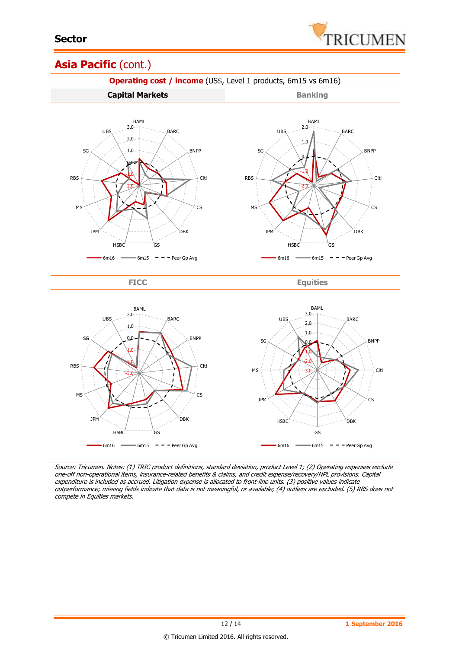

## Asia Pacific (cont.)



Source: Tricumen. Notes: (1) TRIC product definitions, standard deviation, product Level 1; (2) Operating expenses exclude one-off non-operational items, insurance-related benefits & claims, and credit expense/recovery/NPL provisions. Capital expenditure is included as accrued. Litigation expense is allocated to front-line units. (3) positive values indicate outperformance; missing fields indicate that data is not meaningful, or available; (4) outliers are excluded. (5) RBS does not compete in Equities markets.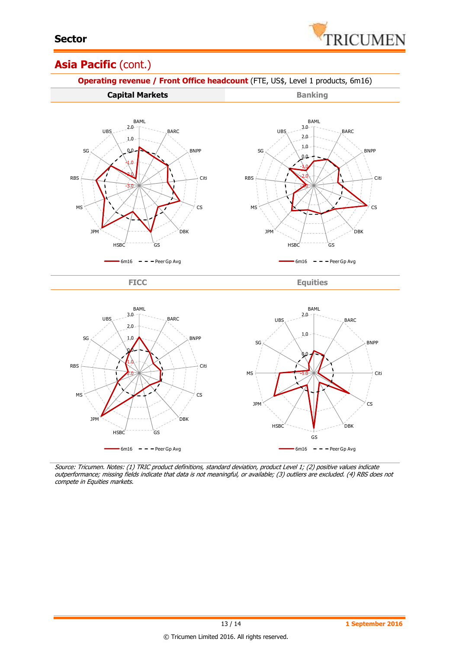

## Asia Pacific (cont.)



Source: Tricumen. Notes: (1) TRIC product definitions, standard deviation, product Level 1; (2) positive values indicate outperformance; missing fields indicate that data is not meaningful, or available; (3) outliers are excluded. (4) RBS does not compete in Equities markets.